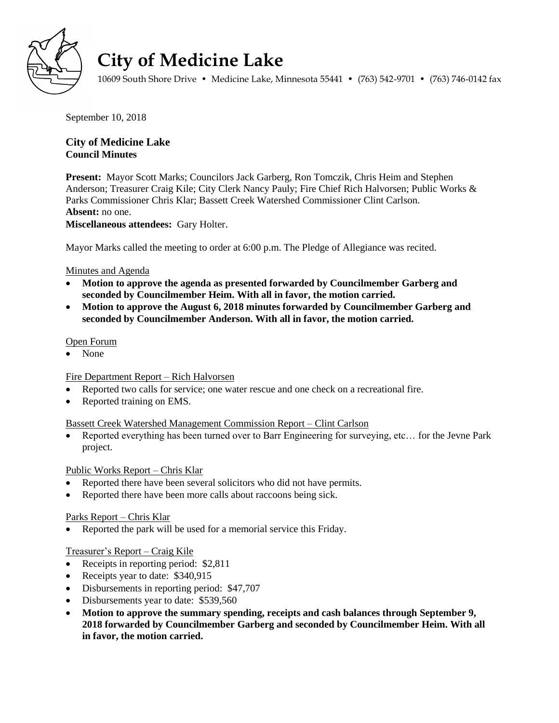

# **City of Medicine Lake**

10609 South Shore Drive • Medicine Lake, Minnesota 55441 • (763) 542-9701 • (763) 746-0142 fax

September 10, 2018

# **City of Medicine Lake Council Minutes**

**Present:** Mayor Scott Marks; Councilors Jack Garberg, Ron Tomczik, Chris Heim and Stephen Anderson; Treasurer Craig Kile; City Clerk Nancy Pauly; Fire Chief Rich Halvorsen; Public Works & Parks Commissioner Chris Klar; Bassett Creek Watershed Commissioner Clint Carlson. **Absent:** no one.

**Miscellaneous attendees:** Gary Holter.

Mayor Marks called the meeting to order at 6:00 p.m. The Pledge of Allegiance was recited.

## Minutes and Agenda

- **Motion to approve the agenda as presented forwarded by Councilmember Garberg and seconded by Councilmember Heim. With all in favor, the motion carried.**
- **Motion to approve the August 6, 2018 minutes forwarded by Councilmember Garberg and seconded by Councilmember Anderson. With all in favor, the motion carried.**

#### Open Forum

None

## Fire Department Report – Rich Halvorsen

- Reported two calls for service; one water rescue and one check on a recreational fire.
- Reported training on EMS.

#### Bassett Creek Watershed Management Commission Report – Clint Carlson

• Reported everything has been turned over to Barr Engineering for surveying, etc... for the Jevne Park project.

#### Public Works Report – Chris Klar

- Reported there have been several solicitors who did not have permits.
- Reported there have been more calls about raccoons being sick.

#### Parks Report – Chris Klar

• Reported the park will be used for a memorial service this Friday.

## Treasurer's Report – Craig Kile

- Receipts in reporting period: \$2,811
- Receipts year to date: \$340,915
- Disbursements in reporting period: \$47,707
- Disbursements year to date: \$539,560
- **Motion to approve the summary spending, receipts and cash balances through September 9, 2018 forwarded by Councilmember Garberg and seconded by Councilmember Heim. With all in favor, the motion carried.**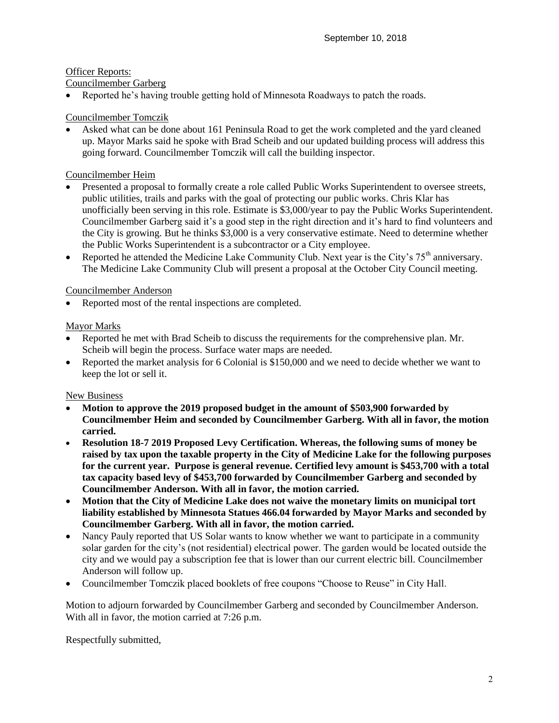## Officer Reports:

#### Councilmember Garberg

Reported he's having trouble getting hold of Minnesota Roadways to patch the roads.

## Councilmember Tomczik

 Asked what can be done about 161 Peninsula Road to get the work completed and the yard cleaned up. Mayor Marks said he spoke with Brad Scheib and our updated building process will address this going forward. Councilmember Tomczik will call the building inspector.

#### Councilmember Heim

- Presented a proposal to formally create a role called Public Works Superintendent to oversee streets, public utilities, trails and parks with the goal of protecting our public works. Chris Klar has unofficially been serving in this role. Estimate is \$3,000/year to pay the Public Works Superintendent. Councilmember Garberg said it's a good step in the right direction and it's hard to find volunteers and the City is growing. But he thinks \$3,000 is a very conservative estimate. Need to determine whether the Public Works Superintendent is a subcontractor or a City employee.
- Reported he attended the Medicine Lake Community Club. Next year is the City's  $75<sup>th</sup>$  anniversary. The Medicine Lake Community Club will present a proposal at the October City Council meeting.

## Councilmember Anderson

Reported most of the rental inspections are completed.

## Mayor Marks

- Reported he met with Brad Scheib to discuss the requirements for the comprehensive plan. Mr. Scheib will begin the process. Surface water maps are needed.
- Reported the market analysis for 6 Colonial is \$150,000 and we need to decide whether we want to keep the lot or sell it.

## New Business

- **Motion to approve the 2019 proposed budget in the amount of \$503,900 forwarded by Councilmember Heim and seconded by Councilmember Garberg. With all in favor, the motion carried.**
- **Resolution 18-7 2019 Proposed Levy Certification. Whereas, the following sums of money be raised by tax upon the taxable property in the City of Medicine Lake for the following purposes for the current year. Purpose is general revenue. Certified levy amount is \$453,700 with a total tax capacity based levy of \$453,700 forwarded by Councilmember Garberg and seconded by Councilmember Anderson. With all in favor, the motion carried.**
- **Motion that the City of Medicine Lake does not waive the monetary limits on municipal tort liability established by Minnesota Statues 466.04 forwarded by Mayor Marks and seconded by Councilmember Garberg. With all in favor, the motion carried.**
- Nancy Pauly reported that US Solar wants to know whether we want to participate in a community solar garden for the city's (not residential) electrical power. The garden would be located outside the city and we would pay a subscription fee that is lower than our current electric bill. Councilmember Anderson will follow up.
- Councilmember Tomczik placed booklets of free coupons "Choose to Reuse" in City Hall.

Motion to adjourn forwarded by Councilmember Garberg and seconded by Councilmember Anderson. With all in favor, the motion carried at 7:26 p.m.

Respectfully submitted,